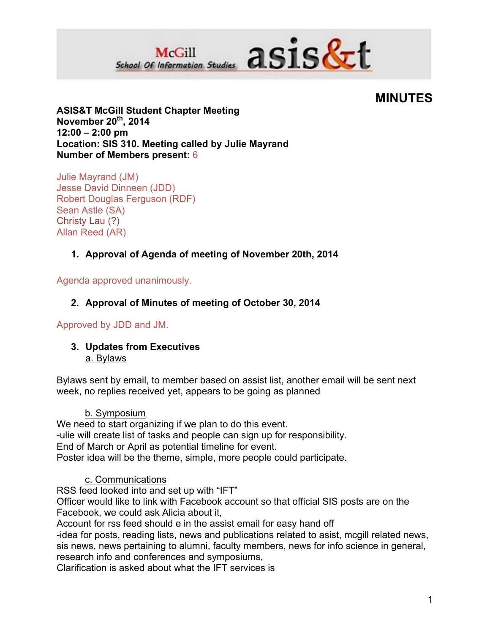

# **MINUTES**

**ASIS&T McGill Student Chapter Meeting November 20th, 2014 12:00 – 2:00 pm Location: SIS 310. Meeting called by Julie Mayrand Number of Members present:** 6

Julie Mayrand (JM) Jesse David Dinneen (JDD) Robert Douglas Ferguson (RDF) Sean Astle (SA) Christy Lau (?) Allan Reed (AR)

# **1. Approval of Agenda of meeting of November 20th, 2014**

Agenda approved unanimously.

# **2. Approval of Minutes of meeting of October 30, 2014**

## Approved by JDD and JM.

#### **3. Updates from Executives** a. Bylaws

Bylaws sent by email, to member based on assist list, another email will be sent next week, no replies received yet, appears to be going as planned

#### b. Symposium

We need to start organizing if we plan to do this event. -ulie will create list of tasks and people can sign up for responsibility. End of March or April as potential timeline for event. Poster idea will be the theme, simple, more people could participate.

## c. Communications

RSS feed looked into and set up with "IFT"

Officer would like to link with Facebook account so that official SIS posts are on the Facebook, we could ask Alicia about it,

Account for rss feed should e in the assist email for easy hand off

-idea for posts, reading lists, news and publications related to asist, mcgill related news, sis news, news pertaining to alumni, faculty members, news for info science in general, research info and conferences and symposiums,

Clarification is asked about what the IFT services is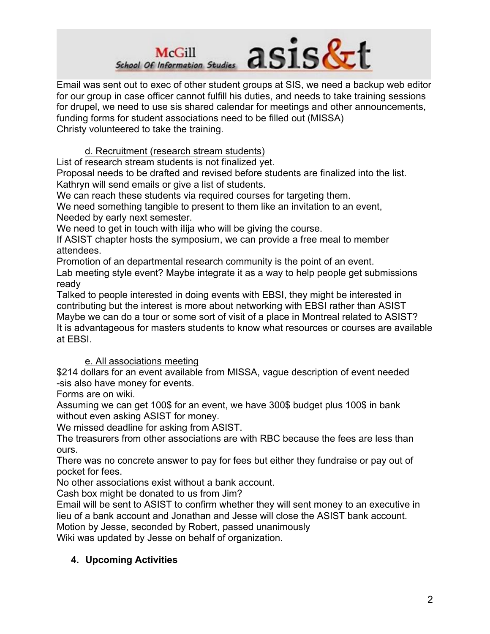

Email was sent out to exec of other student groups at SIS, we need a backup web editor for our group in case officer cannot fulfill his duties, and needs to take training sessions for drupel, we need to use sis shared calendar for meetings and other announcements, funding forms for student associations need to be filled out (MISSA) Christy volunteered to take the training.

d. Recruitment (research stream students)

List of research stream students is not finalized yet.

Proposal needs to be drafted and revised before students are finalized into the list. Kathryn will send emails or give a list of students.

We can reach these students via required courses for targeting them.

We need something tangible to present to them like an invitation to an event, Needed by early next semester.

We need to get in touch with ilija who will be giving the course.

If ASIST chapter hosts the symposium, we can provide a free meal to member attendees.

Promotion of an departmental research community is the point of an event.

Lab meeting style event? Maybe integrate it as a way to help people get submissions ready

Talked to people interested in doing events with EBSI, they might be interested in contributing but the interest is more about networking with EBSI rather than ASIST Maybe we can do a tour or some sort of visit of a place in Montreal related to ASIST? It is advantageous for masters students to know what resources or courses are available at EBSI.

## e. All associations meeting

\$214 dollars for an event available from MISSA, vague description of event needed -sis also have money for events.

Forms are on wiki.

Assuming we can get 100\$ for an event, we have 300\$ budget plus 100\$ in bank without even asking ASIST for money.

We missed deadline for asking from ASIST.

The treasurers from other associations are with RBC because the fees are less than ours.

There was no concrete answer to pay for fees but either they fundraise or pay out of pocket for fees.

No other associations exist without a bank account.

Cash box might be donated to us from Jim?

Email will be sent to ASIST to confirm whether they will sent money to an executive in lieu of a bank account and Jonathan and Jesse will close the ASIST bank account. Motion by Jesse, seconded by Robert, passed unanimously

Wiki was updated by Jesse on behalf of organization.

## **4. Upcoming Activities**